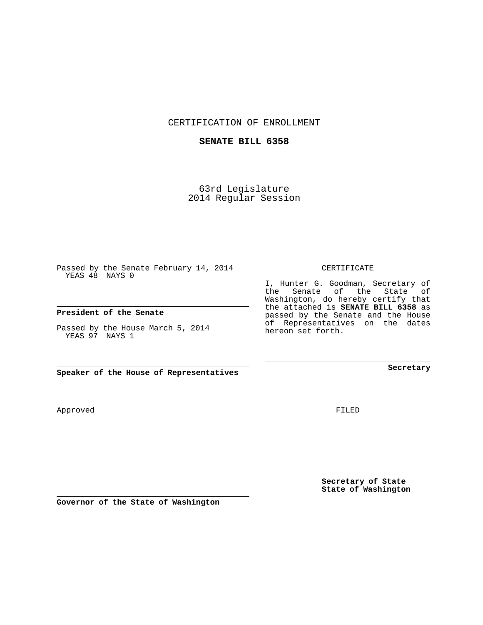CERTIFICATION OF ENROLLMENT

## **SENATE BILL 6358**

63rd Legislature 2014 Regular Session

Passed by the Senate February 14, 2014 YEAS 48 NAYS 0

## **President of the Senate**

Passed by the House March 5, 2014 YEAS 97 NAYS 1

**Speaker of the House of Representatives**

Approved

FILED

**Secretary of State State of Washington**

**Secretary**

CERTIFICATE

I, Hunter G. Goodman, Secretary of the Senate of the State of Washington, do hereby certify that the attached is **SENATE BILL 6358** as passed by the Senate and the House of Representatives on the dates hereon set forth.

**Governor of the State of Washington**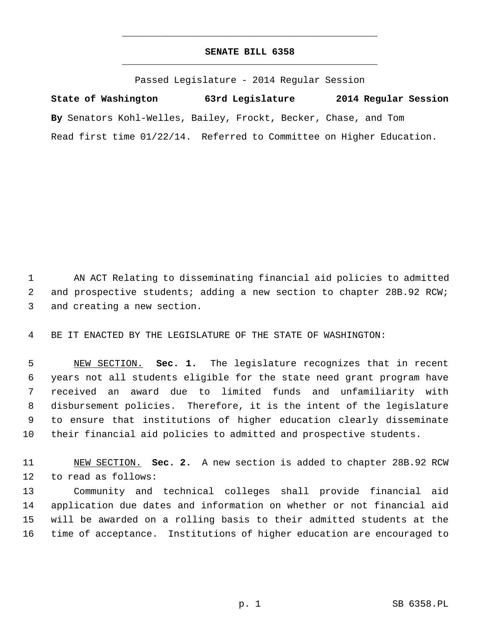## **SENATE BILL 6358** \_\_\_\_\_\_\_\_\_\_\_\_\_\_\_\_\_\_\_\_\_\_\_\_\_\_\_\_\_\_\_\_\_\_\_\_\_\_\_\_\_\_\_\_\_

\_\_\_\_\_\_\_\_\_\_\_\_\_\_\_\_\_\_\_\_\_\_\_\_\_\_\_\_\_\_\_\_\_\_\_\_\_\_\_\_\_\_\_\_\_

Passed Legislature - 2014 Regular Session

**State of Washington 63rd Legislature 2014 Regular Session By** Senators Kohl-Welles, Bailey, Frockt, Becker, Chase, and Tom Read first time 01/22/14. Referred to Committee on Higher Education.

 1 AN ACT Relating to disseminating financial aid policies to admitted 2 and prospective students; adding a new section to chapter 28B.92 RCW; 3 and creating a new section.

4 BE IT ENACTED BY THE LEGISLATURE OF THE STATE OF WASHINGTON:

 5 NEW SECTION. **Sec. 1.** The legislature recognizes that in recent 6 years not all students eligible for the state need grant program have 7 received an award due to limited funds and unfamiliarity with 8 disbursement policies. Therefore, it is the intent of the legislature 9 to ensure that institutions of higher education clearly disseminate 10 their financial aid policies to admitted and prospective students.

11 NEW SECTION. **Sec. 2.** A new section is added to chapter 28B.92 RCW 12 to read as follows:

13 Community and technical colleges shall provide financial aid 14 application due dates and information on whether or not financial aid 15 will be awarded on a rolling basis to their admitted students at the 16 time of acceptance. Institutions of higher education are encouraged to